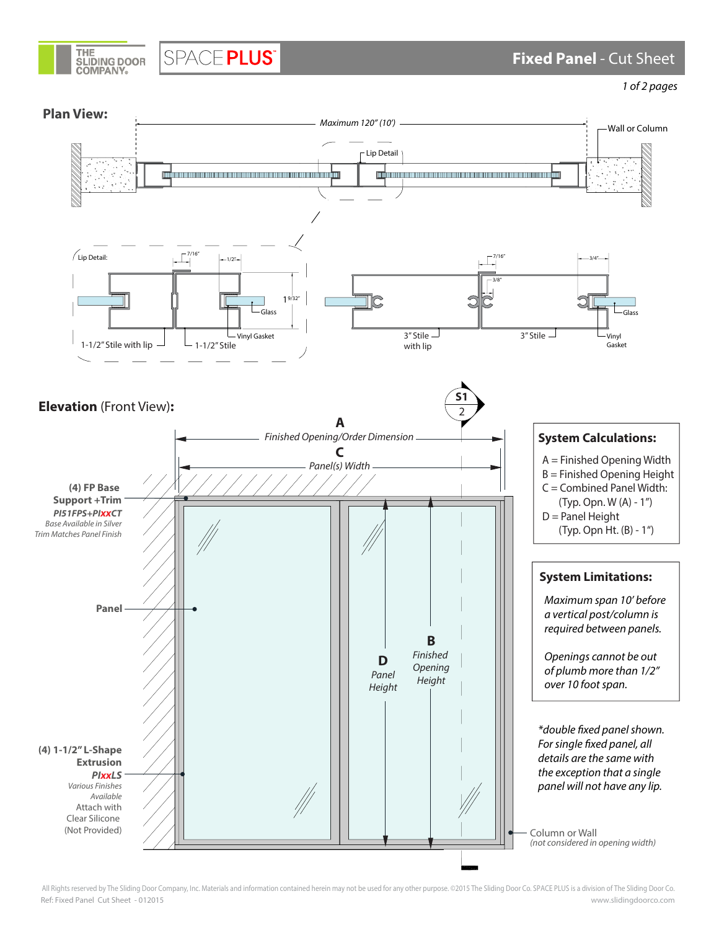

SPACE PLUS®

 **Fixed Panel** - Cut Sheet

1 of 2 pages